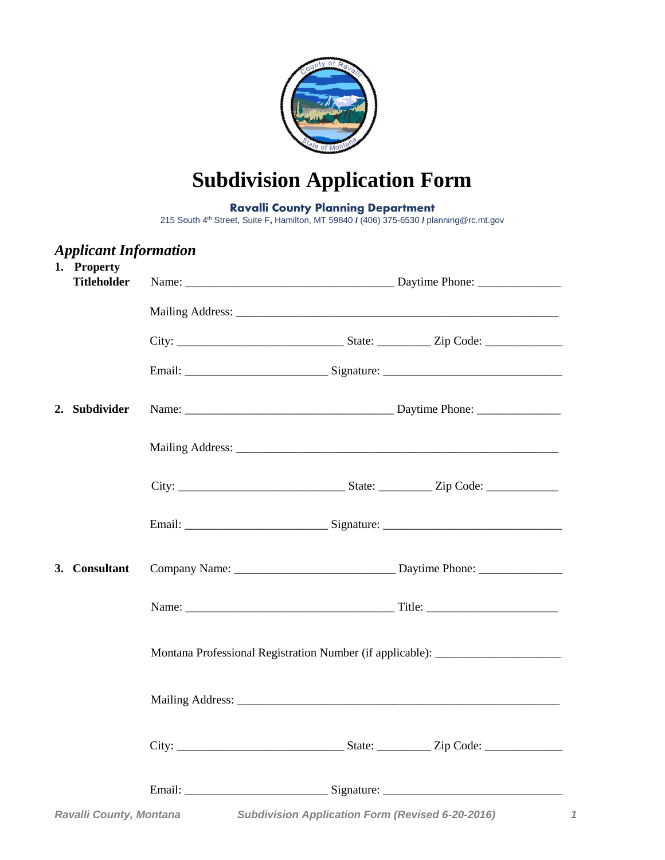

# **Subdivision Application Form**

#### **Ravalli County Planning Department**

215 South 4 th Street, Suite F**,** Hamilton, MT 59840 **/** (406) 375-6530 **/** planning@rc.mt.gov

# *Ravalli County, Montana Subdivision Application Form (Revised 6-20-2016) 1 Applicant Information* **1. Property Titleholder** Name: \_\_\_\_\_\_\_\_\_\_\_\_\_\_\_\_\_\_\_\_\_\_\_\_\_\_\_\_\_\_\_\_\_\_\_ Daytime Phone: \_\_\_\_\_\_\_\_\_\_\_\_\_\_ Mailing Address: \_\_\_\_\_\_\_\_\_\_\_\_\_\_\_\_\_\_\_\_\_\_\_\_\_\_\_\_\_\_\_\_\_\_\_\_\_\_\_\_\_\_\_\_\_\_\_\_\_\_\_\_\_\_ City: \_\_\_\_\_\_\_\_\_\_\_\_\_\_\_\_\_\_\_\_\_\_\_\_\_\_\_\_ State: \_\_\_\_\_\_\_\_\_ Zip Code: \_\_\_\_\_\_\_\_\_\_\_\_\_ Email: \_\_\_\_\_\_\_\_\_\_\_\_\_\_\_\_\_\_\_\_\_\_\_\_ Signature: \_\_\_\_\_\_\_\_\_\_\_\_\_\_\_\_\_\_\_\_\_\_\_\_\_\_\_\_\_\_ **2. Subdivider** Name: \_\_\_\_\_\_\_\_\_\_\_\_\_\_\_\_\_\_\_\_\_\_\_\_\_\_\_\_\_\_\_\_\_\_\_ Daytime Phone: \_\_\_\_\_\_\_\_\_\_\_\_\_\_ Mailing Address: \_\_\_\_\_\_\_\_\_\_\_\_\_\_\_\_\_\_\_\_\_\_\_\_\_\_\_\_\_\_\_\_\_\_\_\_\_\_\_\_\_\_\_\_\_\_\_\_\_\_\_\_\_\_ City: \_\_\_\_\_\_\_\_\_\_\_\_\_\_\_\_\_\_\_\_\_\_\_\_\_\_\_\_ State: \_\_\_\_\_\_\_\_\_ Zip Code: \_\_\_\_\_\_\_\_\_\_\_\_ Email: \_\_\_\_\_\_\_\_\_\_\_\_\_\_\_\_\_\_\_\_\_\_\_\_ Signature: \_\_\_\_\_\_\_\_\_\_\_\_\_\_\_\_\_\_\_\_\_\_\_\_\_\_\_\_\_\_ **3. Consultant** Company Name: Daytime Phone: Name: Title: Montana Professional Registration Number (if applicable): Mailing Address: City: \_\_\_\_\_\_\_\_\_\_\_\_\_\_\_\_\_\_\_\_\_\_\_\_\_\_\_\_ State: \_\_\_\_\_\_\_\_\_ Zip Code: \_\_\_\_\_\_\_\_\_\_\_\_\_ Email: \_\_\_\_\_\_\_\_\_\_\_\_\_\_\_\_\_\_\_\_\_\_\_\_ Signature: \_\_\_\_\_\_\_\_\_\_\_\_\_\_\_\_\_\_\_\_\_\_\_\_\_\_\_\_\_\_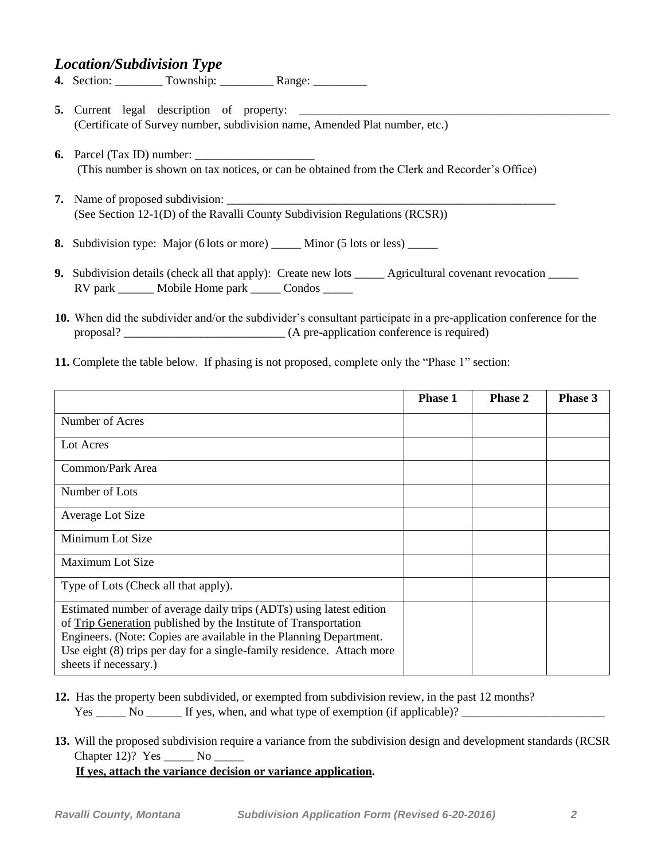#### *Location/Subdivision Type*

- **4.** Section: \_\_\_\_\_\_\_\_ Township: \_\_\_\_\_\_\_\_\_ Range: \_\_\_\_\_\_\_\_\_
- **5.** Current legal description of property: \_\_\_\_\_\_\_\_\_\_\_\_\_\_\_\_\_\_\_\_\_\_\_\_\_\_\_\_\_\_\_\_\_\_\_\_\_\_\_\_\_\_\_\_\_\_\_\_\_\_\_\_ (Certificate of Survey number, subdivision name, Amended Plat number, etc.)
- **6.** Parcel (Tax ID) number: \_\_\_\_\_\_\_\_\_\_\_\_\_\_\_\_\_\_\_\_ (This number is shown on tax notices, or can be obtained from the Clerk and Recorder's Office)
- **7.** Name of proposed subdivision: (See Section 12-1(D) of the Ravalli County Subdivision Regulations (RCSR))
- **8.** Subdivision type: Major (6 lots or more) \_\_\_\_\_ Minor (5 lots or less) \_\_\_\_\_
- **9.** Subdivision details (check all that apply): Create new lots \_\_\_\_\_\_ Agricultural covenant revocation \_\_\_\_\_ RV park \_\_\_\_\_\_\_ Mobile Home park \_\_\_\_\_\_ Condos \_\_\_\_\_\_
- **10.** When did the subdivider and/or the subdivider's consultant participate in a pre-application conference for the proposal? \_\_\_\_\_\_\_\_\_\_\_\_\_\_\_\_\_\_\_\_\_\_\_\_\_\_\_ (A pre-application conference is required)
- **11.** Complete the table below. If phasing is not proposed, complete only the "Phase 1" section:

|                                                                                                                                                                                                                                                                                                                 | <b>Phase 1</b> | <b>Phase 2</b> | <b>Phase 3</b> |
|-----------------------------------------------------------------------------------------------------------------------------------------------------------------------------------------------------------------------------------------------------------------------------------------------------------------|----------------|----------------|----------------|
| Number of Acres                                                                                                                                                                                                                                                                                                 |                |                |                |
| Lot Acres                                                                                                                                                                                                                                                                                                       |                |                |                |
| Common/Park Area                                                                                                                                                                                                                                                                                                |                |                |                |
| Number of Lots                                                                                                                                                                                                                                                                                                  |                |                |                |
| Average Lot Size                                                                                                                                                                                                                                                                                                |                |                |                |
| Minimum Lot Size                                                                                                                                                                                                                                                                                                |                |                |                |
| Maximum Lot Size                                                                                                                                                                                                                                                                                                |                |                |                |
| Type of Lots (Check all that apply).                                                                                                                                                                                                                                                                            |                |                |                |
| Estimated number of average daily trips (ADTs) using latest edition<br>of Trip Generation published by the Institute of Transportation<br>Engineers. (Note: Copies are available in the Planning Department.<br>Use eight (8) trips per day for a single-family residence. Attach more<br>sheets if necessary.) |                |                |                |

- 12. Has the property been subdivided, or exempted from subdivision review, in the past 12 months? Yes \_\_\_\_\_ No \_\_\_\_\_\_ If yes, when, and what type of exemption (if applicable)?
- 13. Will the proposed subdivision require a variance from the subdivision design and development standards (RCSR Chapter 12)? Yes No

 **If yes, attach the variance decision or variance application.**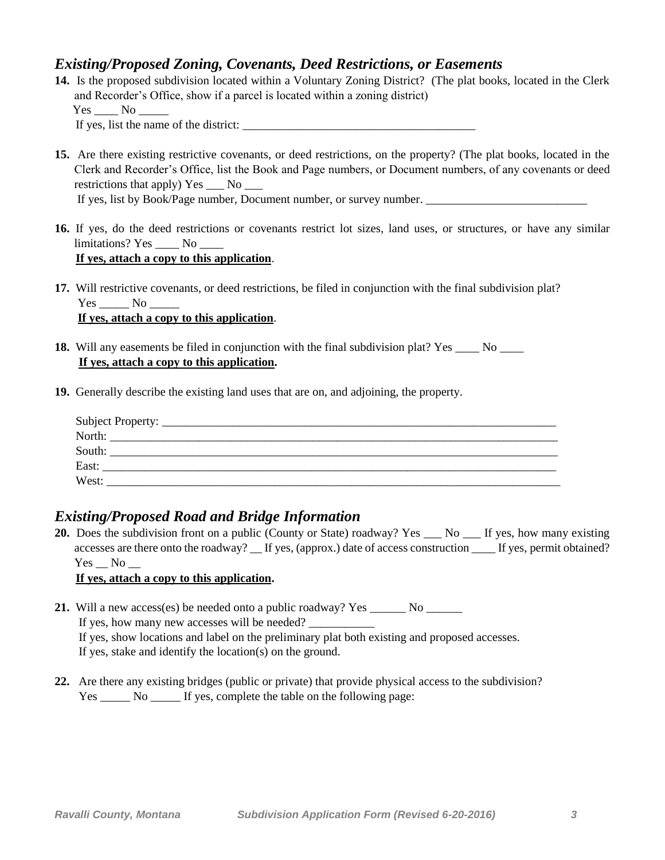#### *Existing/Proposed Zoning, Covenants, Deed Restrictions, or Easements*

**14.** Is the proposed subdivision located within a Voluntary Zoning District? (The plat books, located in the Clerk and Recorder's Office, show if a parcel is located within a zoning district)  $Yes$  No If yes, list the name of the district:

**15.** Are there existing restrictive covenants, or deed restrictions, on the property? (The plat books, located in the Clerk and Recorder's Office, list the Book and Page numbers, or Document numbers, of any covenants or deed restrictions that apply) Yes \_\_\_ No \_\_\_ If yes, list by Book/Page number, Document number, or survey number.

- **16.** If yes, do the deed restrictions or covenants restrict lot sizes, land uses, or structures, or have any similar limitations? Yes No  **If yes, attach a copy to this application**.
- **17.** Will restrictive covenants, or deed restrictions, be filed in conjunction with the final subdivision plat?  $Yes \_\_ No \_\_$ **If yes, attach a copy to this application**.
- **18.** Will any easements be filed in conjunction with the final subdivision plat? Yes No  **If yes, attach a copy to this application.**
- **19.** Generally describe the existing land uses that are on, and adjoining, the property.

| North:            |  |  |  |
|-------------------|--|--|--|
| South:            |  |  |  |
| East:             |  |  |  |
| West <sup>.</sup> |  |  |  |

#### *Existing/Proposed Road and Bridge Information*

20. Does the subdivision front on a public (County or State) roadway? Yes \_\_\_ No \_\_\_ If yes, how many existing accesses are there onto the roadway? \_\_ If yes, (approx.) date of access construction \_\_\_\_ If yes, permit obtained? Yes No

#### **If yes, attach a copy to this application.**

- **21.** Will a new access(es) be needed onto a public roadway? Yes \_\_\_\_\_\_ No \_\_\_\_\_\_ If yes, how many new accesses will be needed? \_\_\_\_\_\_\_\_\_\_\_ If yes, show locations and label on the preliminary plat both existing and proposed accesses. If yes, stake and identify the location(s) on the ground.
- **22.** Are there any existing bridges (public or private) that provide physical access to the subdivision? Yes \_\_\_\_\_\_ No \_\_\_\_\_\_ If yes, complete the table on the following page: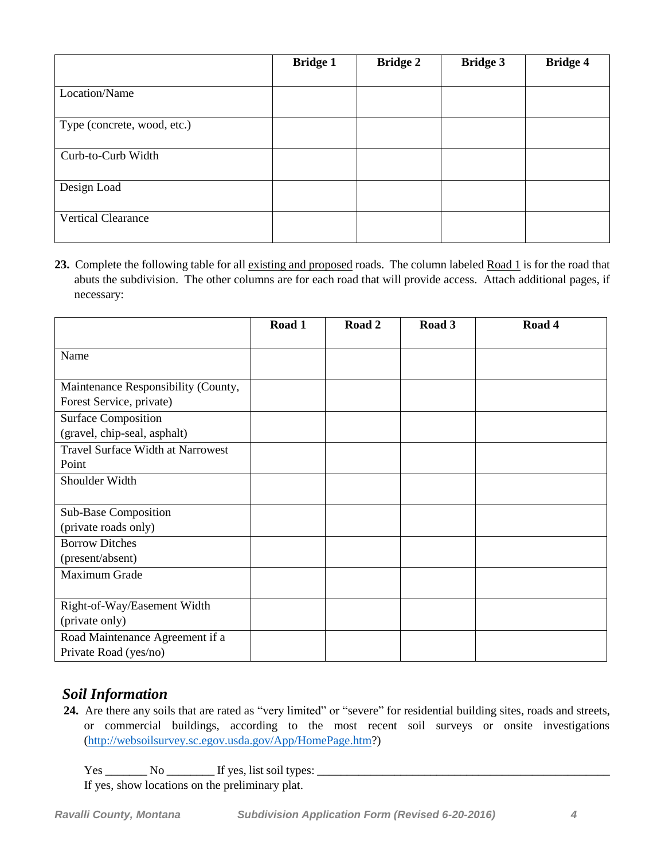|                             | <b>Bridge 1</b> | <b>Bridge 2</b> | <b>Bridge 3</b> | <b>Bridge 4</b> |
|-----------------------------|-----------------|-----------------|-----------------|-----------------|
|                             |                 |                 |                 |                 |
| Location/Name               |                 |                 |                 |                 |
|                             |                 |                 |                 |                 |
| Type (concrete, wood, etc.) |                 |                 |                 |                 |
|                             |                 |                 |                 |                 |
| Curb-to-Curb Width          |                 |                 |                 |                 |
|                             |                 |                 |                 |                 |
| Design Load                 |                 |                 |                 |                 |
|                             |                 |                 |                 |                 |
| <b>Vertical Clearance</b>   |                 |                 |                 |                 |
|                             |                 |                 |                 |                 |

23. Complete the following table for all existing and proposed roads. The column labeled Road 1 is for the road that abuts the subdivision. The other columns are for each road that will provide access. Attach additional pages, if necessary:

|                                              | Road 1 | Road 2 | Road 3 | Road 4 |
|----------------------------------------------|--------|--------|--------|--------|
| Name                                         |        |        |        |        |
| Maintenance Responsibility (County,          |        |        |        |        |
| Forest Service, private)                     |        |        |        |        |
| <b>Surface Composition</b>                   |        |        |        |        |
| (gravel, chip-seal, asphalt)                 |        |        |        |        |
| <b>Travel Surface Width at Narrowest</b>     |        |        |        |        |
| Point                                        |        |        |        |        |
| Shoulder Width                               |        |        |        |        |
|                                              |        |        |        |        |
| Sub-Base Composition<br>(private roads only) |        |        |        |        |
| <b>Borrow Ditches</b>                        |        |        |        |        |
| (present/absent)                             |        |        |        |        |
| Maximum Grade                                |        |        |        |        |
|                                              |        |        |        |        |
| Right-of-Way/Easement Width                  |        |        |        |        |
| (private only)                               |        |        |        |        |
| Road Maintenance Agreement if a              |        |        |        |        |
| Private Road (yes/no)                        |        |        |        |        |

#### *Soil Information*

 **24.** Are there any soils that are rated as "very limited" or "severe" for residential building sites, roads and streets, or commercial buildings, according to the most recent soil surveys or onsite investigations [\(http://websoilsurvey.sc.egov.usda.gov/App/HomePage.htm?](http://websoilsurvey.sc.egov.usda.gov/App/HomePage.htm))

Yes \_\_\_\_\_\_\_ No \_\_\_\_\_\_\_\_ If yes, list soil types: \_\_\_\_\_\_\_\_\_\_\_\_\_\_\_\_\_\_\_\_\_\_\_\_\_\_\_\_\_\_\_\_\_\_\_\_\_\_\_\_\_\_\_\_\_\_\_\_\_

If yes, show locations on the preliminary plat.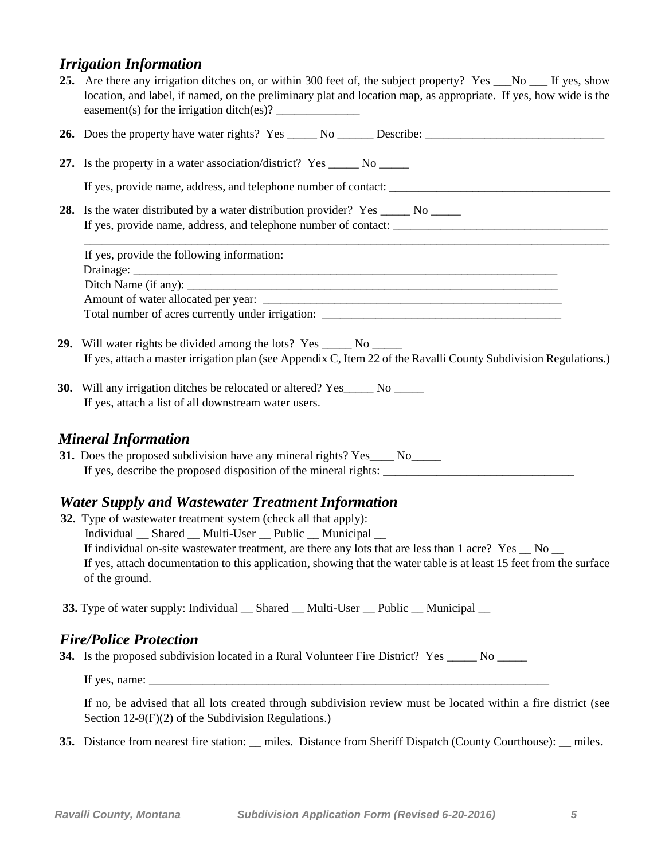### *Irrigation Information*

| 25. Are there any irrigation ditches on, or within 300 feet of, the subject property? Yes No States If yes, show<br>location, and label, if named, on the preliminary plat and location map, as appropriate. If yes, how wide is the                                                                                                                                                                                                         |
|----------------------------------------------------------------------------------------------------------------------------------------------------------------------------------------------------------------------------------------------------------------------------------------------------------------------------------------------------------------------------------------------------------------------------------------------|
|                                                                                                                                                                                                                                                                                                                                                                                                                                              |
| 27. Is the property in a water association/district? Yes ______ No ______                                                                                                                                                                                                                                                                                                                                                                    |
|                                                                                                                                                                                                                                                                                                                                                                                                                                              |
| 28. Is the water distributed by a water distribution provider? Yes ______ No _____                                                                                                                                                                                                                                                                                                                                                           |
| If yes, provide the following information:                                                                                                                                                                                                                                                                                                                                                                                                   |
|                                                                                                                                                                                                                                                                                                                                                                                                                                              |
|                                                                                                                                                                                                                                                                                                                                                                                                                                              |
| 29. Will water rights be divided among the lots? Yes ______ No _____<br>If yes, attach a master irrigation plan (see Appendix C, Item 22 of the Ravalli County Subdivision Regulations.)                                                                                                                                                                                                                                                     |
| <b>30.</b> Will any irrigation ditches be relocated or altered? Yes______ No ______<br>If yes, attach a list of all downstream water users.                                                                                                                                                                                                                                                                                                  |
| <b>Mineral Information</b><br>31. Does the proposed subdivision have any mineral rights? Yes ____ No_____                                                                                                                                                                                                                                                                                                                                    |
| <b>Water Supply and Wastewater Treatment Information</b><br>32. Type of wastewater treatment system (check all that apply):<br>Individual __ Shared __ Multi-User __ Public __ Municipal __<br>If individual on-site wastewater treatment, are there any lots that are less than 1 acre? Yes _ No _<br>If yes, attach documentation to this application, showing that the water table is at least 15 feet from the surface<br>of the ground. |
| <b>33.</b> Type of water supply: Individual _ Shared _ Multi-User _ Public _ Municipal _                                                                                                                                                                                                                                                                                                                                                     |
| <b>Fire/Police Protection</b>                                                                                                                                                                                                                                                                                                                                                                                                                |

**34.** Is the proposed subdivision located in a Rural Volunteer Fire District? Yes \_\_\_\_\_ No \_\_\_\_\_

If yes, name:  $\frac{1}{\sqrt{1-\frac{1}{2}}}\$ 

If no, be advised that all lots created through subdivision review must be located within a fire district (see Section 12-9(F)(2) of the Subdivision Regulations.)

**35.** Distance from nearest fire station: \_\_ miles. Distance from Sheriff Dispatch (County Courthouse): \_\_ miles.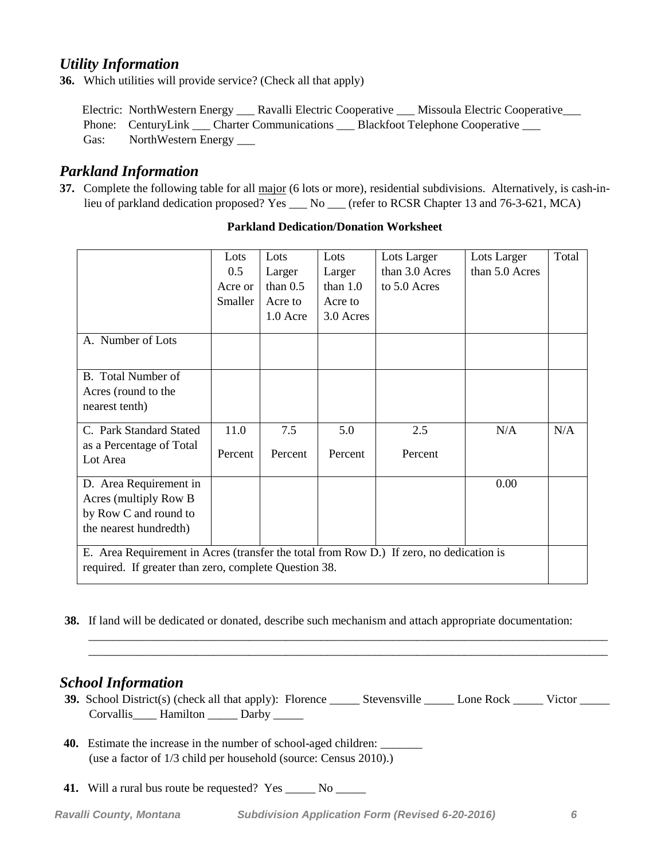#### *Utility Information*

**36.** Which utilities will provide service? (Check all that apply)

Electric: NorthWestern Energy \_\_\_ Ravalli Electric Cooperative \_\_\_ Missoula Electric Cooperative \_\_\_ Phone: CenturyLink Charter Communications Blackfoot Telephone Cooperative Gas: NorthWestern Energy \_\_\_\_

#### *Parkland Information*

**37.** Complete the following table for all major (6 lots or more), residential subdivisions. Alternatively, is cash-inlieu of parkland dedication proposed? Yes \_\_\_ No \_\_\_ (refer to RCSR Chapter 13 and 76-3-621, MCA)

|                                                                                                                                                  | Lots<br>0.5<br>Acre or<br>Smaller | Lots<br>Larger<br>than $0.5$<br>Acre to<br>1.0 Acre | Lots<br>Larger<br>than $1.0$<br>Acre to<br>3.0 Acres | Lots Larger<br>than 3.0 Acres<br>to 5.0 Acres | Lots Larger<br>than 5.0 Acres | Total |
|--------------------------------------------------------------------------------------------------------------------------------------------------|-----------------------------------|-----------------------------------------------------|------------------------------------------------------|-----------------------------------------------|-------------------------------|-------|
| A. Number of Lots                                                                                                                                |                                   |                                                     |                                                      |                                               |                               |       |
| B. Total Number of<br>Acres (round to the<br>nearest tenth)                                                                                      |                                   |                                                     |                                                      |                                               |                               |       |
| C. Park Standard Stated<br>as a Percentage of Total<br>Lot Area                                                                                  | 11.0<br>Percent                   | 7.5<br>Percent                                      | 5.0<br>Percent                                       | 2.5<br>Percent                                | N/A                           | N/A   |
| D. Area Requirement in<br>Acres (multiply Row B<br>by Row C and round to<br>the nearest hundredth)                                               |                                   |                                                     |                                                      |                                               | 0.00                          |       |
| E. Area Requirement in Acres (transfer the total from Row D.) If zero, no dedication is<br>required. If greater than zero, complete Question 38. |                                   |                                                     |                                                      |                                               |                               |       |

#### **Parkland Dedication/Donation Worksheet**

**38.** If land will be dedicated or donated, describe such mechanism and attach appropriate documentation:

#### *School Information*

**39.** School District(s) (check all that apply): Florence \_\_\_\_\_\_ Stevensville \_\_\_\_\_\_ Lone Rock \_\_\_\_\_ Victor \_\_\_\_\_ Corvallis Hamilton Darby \_\_\_\_\_

\_\_\_\_\_\_\_\_\_\_\_\_\_\_\_\_\_\_\_\_\_\_\_\_\_\_\_\_\_\_\_\_\_\_\_\_\_\_\_\_\_\_\_\_\_\_\_\_\_\_\_\_\_\_\_\_\_\_\_\_\_\_\_\_\_\_\_\_\_\_\_\_\_\_\_\_\_\_\_\_\_\_\_\_\_\_\_  $\overline{\phantom{a}}$  ,  $\overline{\phantom{a}}$  ,  $\overline{\phantom{a}}$  ,  $\overline{\phantom{a}}$  ,  $\overline{\phantom{a}}$  ,  $\overline{\phantom{a}}$  ,  $\overline{\phantom{a}}$  ,  $\overline{\phantom{a}}$  ,  $\overline{\phantom{a}}$  ,  $\overline{\phantom{a}}$  ,  $\overline{\phantom{a}}$  ,  $\overline{\phantom{a}}$  ,  $\overline{\phantom{a}}$  ,  $\overline{\phantom{a}}$  ,  $\overline{\phantom{a}}$  ,  $\overline{\phantom{a}}$ 

- **40.** Estimate the increase in the number of school-aged children: (use a factor of 1/3 child per household (source: Census 2010).)
- **41.** Will a rural bus route be requested? Yes \_\_\_\_\_ No \_\_\_\_\_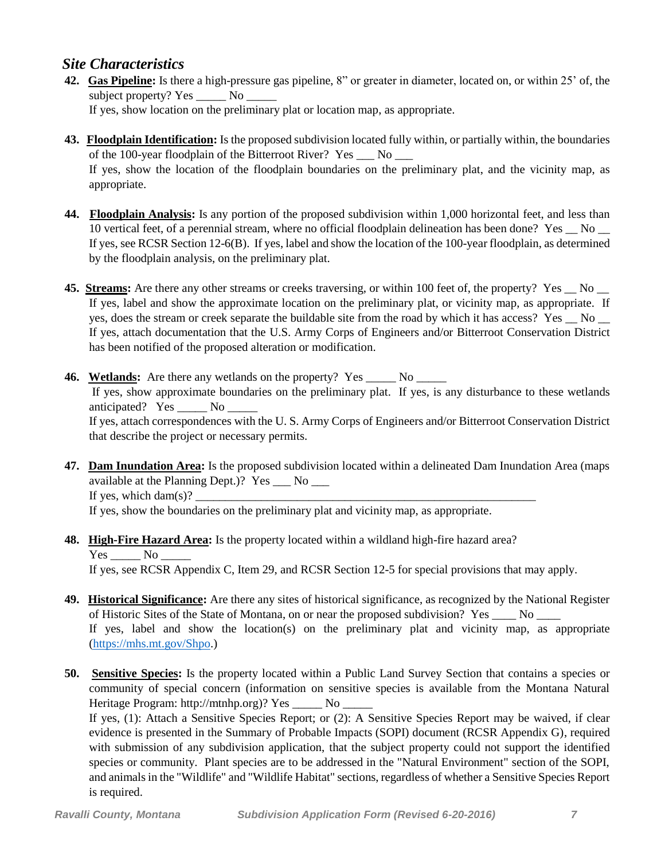#### *Site Characteristics*

- **42. Gas Pipeline:** Is there a high-pressure gas pipeline, 8" or greater in diameter, located on, or within 25' of, the subject property? Yes No If yes, show location on the preliminary plat or location map, as appropriate.
- **43. Floodplain Identification:** Is the proposed subdivision located fully within, or partially within, the boundaries of the 100-year floodplain of the Bitterroot River? Yes \_\_\_ No \_\_\_ If yes, show the location of the floodplain boundaries on the preliminary plat, and the vicinity map, as appropriate.
- **44. Floodplain Analysis:** Is any portion of the proposed subdivision within 1,000 horizontal feet, and less than 10 vertical feet, of a perennial stream, where no official floodplain delineation has been done? Yes No  $\Box$ If yes, see RCSR Section 12-6(B). If yes, label and show the location of the 100-year floodplain, as determined by the floodplain analysis, on the preliminary plat.
- **45. Streams:** Are there any other streams or creeks traversing, or within 100 feet of, the property? Yes No If yes, label and show the approximate location on the preliminary plat, or vicinity map, as appropriate. If yes, does the stream or creek separate the buildable site from the road by which it has access? Yes No If yes, attach documentation that the U.S. Army Corps of Engineers and/or Bitterroot Conservation District has been notified of the proposed alteration or modification.
- **46. Wetlands:** Are there any wetlands on the property? Yes \_\_\_\_\_ No \_\_\_\_\_ If yes, show approximate boundaries on the preliminary plat. If yes, is any disturbance to these wetlands anticipated? Yes No If yes, attach correspondences with the U. S. Army Corps of Engineers and/or Bitterroot Conservation District that describe the project or necessary permits.
- **47. Dam Inundation Area:** Is the proposed subdivision located within a delineated Dam Inundation Area (maps available at the Planning Dept.)? Yes \_\_\_ No \_\_\_ If yes, which dam $(s)$ ?

If yes, show the boundaries on the preliminary plat and vicinity map, as appropriate.

- **48. High-Fire Hazard Area:** Is the property located within a wildland high-fire hazard area? Yes No If yes, see RCSR Appendix C, Item 29, and RCSR Section 12-5 for special provisions that may apply.
- **49. Historical Significance:** Are there any sites of historical significance, as recognized by the National Register of Historic Sites of the State of Montana, on or near the proposed subdivision? Yes No If yes, label and show the location(s) on the preliminary plat and vicinity map, as appropriate [\(https://mhs.mt.gov/Shpo.](https://mhs.mt.gov/Shpo))
- **50. Sensitive Species:** Is the property located within a Public Land Survey Section that contains a species or community of special concern (information on sensitive species is available from the Montana Natural Heritage Program: http://mtnhp.org)? Yes \_\_\_\_\_ No \_\_\_\_\_

If yes, (1): Attach a Sensitive Species Report; or (2): A Sensitive Species Report may be waived, if clear evidence is presented in the Summary of Probable Impacts (SOPI) document (RCSR Appendix G), required with submission of any subdivision application, that the subject property could not support the identified species or community. Plant species are to be addressed in the "Natural Environment" section of the SOPI, and animals in the "Wildlife" and "Wildlife Habitat" sections, regardless of whether a Sensitive Species Report is required.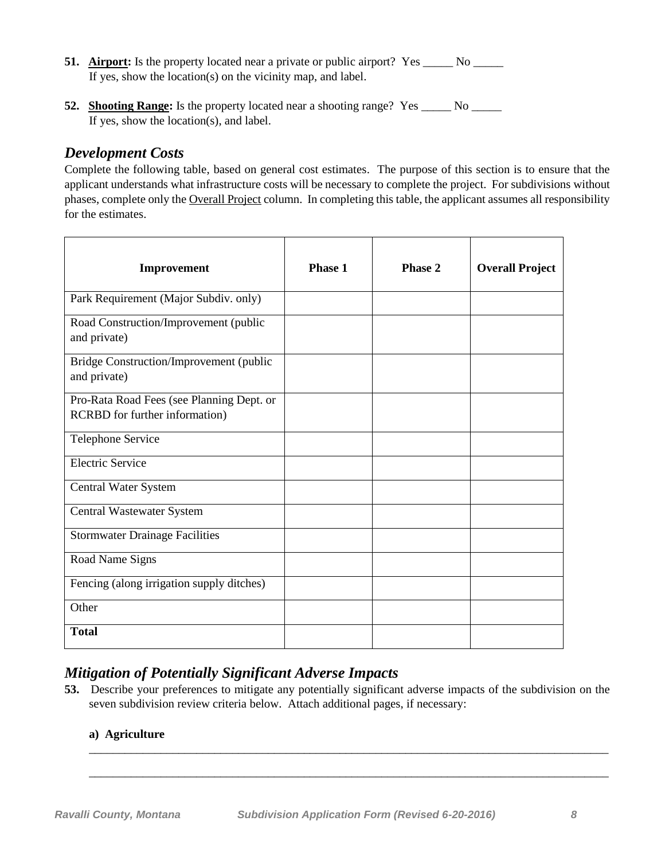- **51. Airport:** Is the property located near a private or public airport? Yes \_\_\_\_\_ No \_\_\_\_\_ If yes, show the location(s) on the vicinity map, and label.
- **52.** Shooting Range: Is the property located near a shooting range? Yes \_\_\_\_\_\_ No \_\_\_\_\_ If yes, show the location(s), and label.

#### *Development Costs*

Complete the following table, based on general cost estimates. The purpose of this section is to ensure that the applicant understands what infrastructure costs will be necessary to complete the project. For subdivisions without phases, complete only the Overall Project column. In completing this table, the applicant assumes all responsibility for the estimates.

| Improvement                                                                 | <b>Phase 1</b> | Phase 2 | <b>Overall Project</b> |
|-----------------------------------------------------------------------------|----------------|---------|------------------------|
| Park Requirement (Major Subdiv. only)                                       |                |         |                        |
| Road Construction/Improvement (public<br>and private)                       |                |         |                        |
| Bridge Construction/Improvement (public<br>and private)                     |                |         |                        |
| Pro-Rata Road Fees (see Planning Dept. or<br>RCRBD for further information) |                |         |                        |
| Telephone Service                                                           |                |         |                        |
| <b>Electric Service</b>                                                     |                |         |                        |
| <b>Central Water System</b>                                                 |                |         |                        |
| Central Wastewater System                                                   |                |         |                        |
| <b>Stormwater Drainage Facilities</b>                                       |                |         |                        |
| Road Name Signs                                                             |                |         |                        |
| Fencing (along irrigation supply ditches)                                   |                |         |                        |
| Other                                                                       |                |         |                        |
| <b>Total</b>                                                                |                |         |                        |

## *Mitigation of Potentially Significant Adverse Impacts*

**53.** Describe your preferences to mitigate any potentially significant adverse impacts of the subdivision on the seven subdivision review criteria below. Attach additional pages, if necessary:

\_\_\_\_\_\_\_\_\_\_\_\_\_\_\_\_\_\_\_\_\_\_\_\_\_\_\_\_\_\_\_\_\_\_\_\_\_\_\_\_\_\_\_\_\_\_\_\_\_\_\_\_\_\_\_\_\_\_\_\_\_\_\_\_\_\_\_\_\_\_\_\_\_\_\_\_\_\_\_\_\_\_\_\_\_\_\_

\_\_\_\_\_\_\_\_\_\_\_\_\_\_\_\_\_\_\_\_\_\_\_\_\_\_\_\_\_\_\_\_\_\_\_\_\_\_\_\_\_\_\_\_\_\_\_\_\_\_\_\_\_\_\_\_\_\_\_\_\_\_\_\_\_\_\_\_\_\_\_\_\_\_\_\_\_\_\_\_\_\_\_\_\_\_\_

#### **a) Agriculture**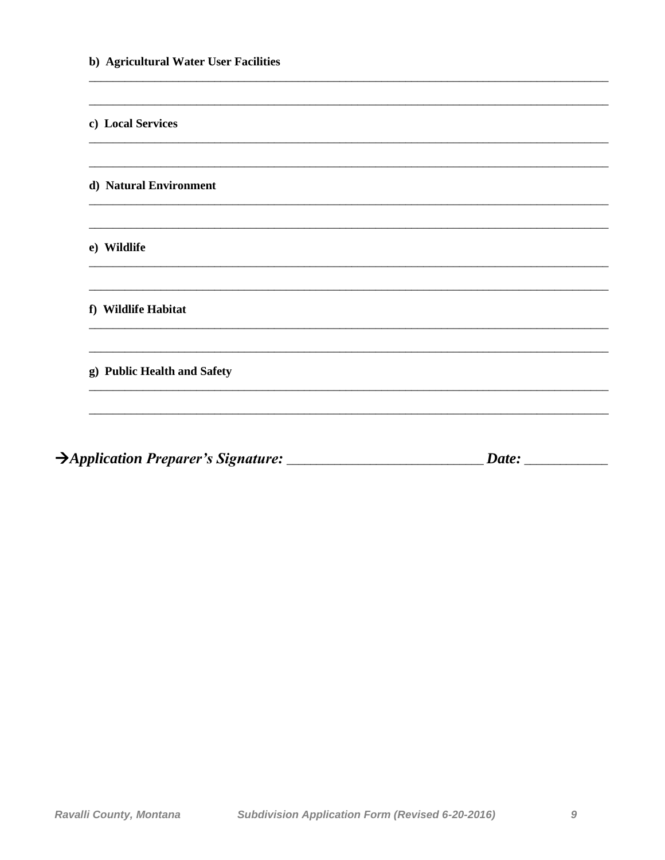| b) Agricultural Water User Facilities |  |  |  |
|---------------------------------------|--|--|--|
|                                       |  |  |  |
| c) Local Services                     |  |  |  |
|                                       |  |  |  |
| d) Natural Environment                |  |  |  |
|                                       |  |  |  |
| e) Wildlife                           |  |  |  |
|                                       |  |  |  |
| f) Wildlife Habitat                   |  |  |  |
|                                       |  |  |  |
| g) Public Health and Safety           |  |  |  |
|                                       |  |  |  |
|                                       |  |  |  |